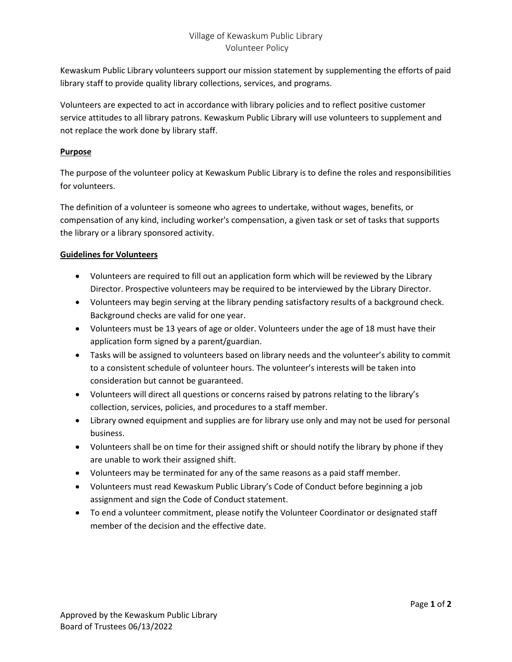# Village of Kewaskum Public Library Volunteer Policy

Kewaskum Public Library volunteers support our mission statement by supplementing the efforts of paid library staff to provide quality library collections, services, and programs.

Volunteers are expected to act in accordance with library policies and to reflect positive customer service attitudes to all library patrons. Kewaskum Public Library will use volunteers to supplement and not replace the work done by library staff.

## **Purpose**

The purpose of the volunteer policy at Kewaskum Public Library is to define the roles and responsibilities for volunteers.

The definition of a volunteer is someone who agrees to undertake, without wages, benefits, or compensation of any kind, including worker's compensation, a given task or set of tasks that supports the library or a library sponsored activity.

## **Guidelines for Volunteers**

- Volunteers are required to fill out an application form which will be reviewed by the Library Director. Prospective volunteers may be required to be interviewed by the Library Director.
- Volunteers may begin serving at the library pending satisfactory results of a background check. Background checks are valid for one year.
- Volunteers must be 13 years of age or older. Volunteers under the age of 18 must have their application form signed by a parent/guardian.
- Tasks will be assigned to volunteers based on library needs and the volunteer's ability to commit to a consistent schedule of volunteer hours. The volunteer's interests will be taken into consideration but cannot be guaranteed.
- Volunteers will direct all questions or concerns raised by patrons relating to the library's collection, services, policies, and procedures to a staff member.
- Library owned equipment and supplies are for library use only and may not be used for personal business.
- Volunteers shall be on time for their assigned shift or should notify the library by phone if they are unable to work their assigned shift.
- Volunteers may be terminated for any of the same reasons as a paid staff member.
- Volunteers must read Kewaskum Public Library's Code of Conduct before beginning a job assignment and sign the Code of Conduct statement.
- To end a volunteer commitment, please notify the Volunteer Coordinator or designated staff member of the decision and the effective date.